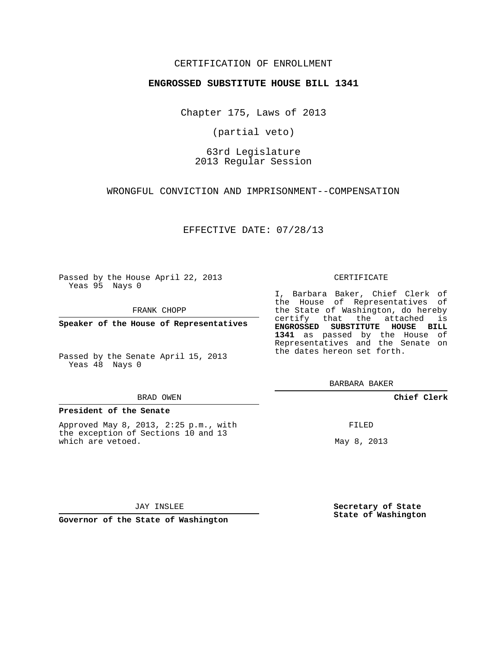## CERTIFICATION OF ENROLLMENT

### **ENGROSSED SUBSTITUTE HOUSE BILL 1341**

Chapter 175, Laws of 2013

(partial veto)

# 63rd Legislature 2013 Regular Session

WRONGFUL CONVICTION AND IMPRISONMENT--COMPENSATION

EFFECTIVE DATE: 07/28/13

Passed by the House April 22, 2013 Yeas 95 Nays 0

FRANK CHOPP

**Speaker of the House of Representatives**

Passed by the Senate April 15, 2013 Yeas 48 Nays 0

#### BRAD OWEN

### **President of the Senate**

Approved May 8, 2013, 2:25 p.m., with the exception of Sections 10 and 13 which are vetoed.

CERTIFICATE

I, Barbara Baker, Chief Clerk of the House of Representatives of the State of Washington, do hereby certify that the attached is **ENGROSSED SUBSTITUTE HOUSE BILL 1341** as passed by the House of Representatives and the Senate on the dates hereon set forth.

BARBARA BAKER

**Chief Clerk**

FILED

May 8, 2013

JAY INSLEE

**Governor of the State of Washington**

**Secretary of State State of Washington**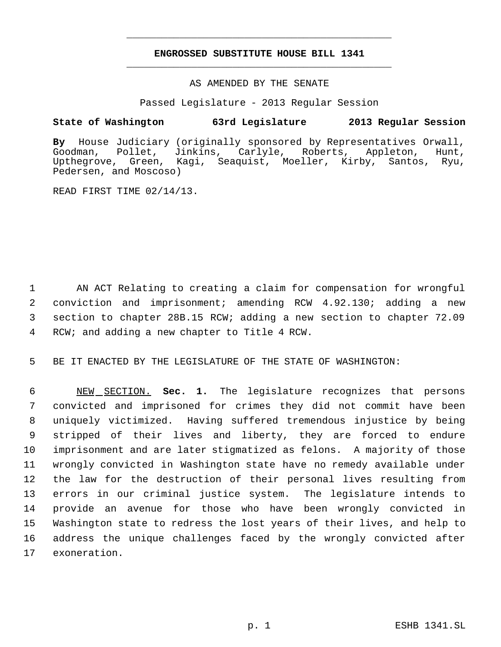# **ENGROSSED SUBSTITUTE HOUSE BILL 1341** \_\_\_\_\_\_\_\_\_\_\_\_\_\_\_\_\_\_\_\_\_\_\_\_\_\_\_\_\_\_\_\_\_\_\_\_\_\_\_\_\_\_\_\_\_

\_\_\_\_\_\_\_\_\_\_\_\_\_\_\_\_\_\_\_\_\_\_\_\_\_\_\_\_\_\_\_\_\_\_\_\_\_\_\_\_\_\_\_\_\_

AS AMENDED BY THE SENATE

Passed Legislature - 2013 Regular Session

## **State of Washington 63rd Legislature 2013 Regular Session**

By House Judiciary (originally sponsored by Representatives Orwall,<br>Goodman, Pollet, Jinkins, Carlyle, Roberts, Appleton, Hunt, Pollet, Jinkins, Carlyle, Roberts, Appleton, Hunt, Upthegrove, Green, Kagi, Seaquist, Moeller, Kirby, Santos, Ryu, Pedersen, and Moscoso)

READ FIRST TIME 02/14/13.

 AN ACT Relating to creating a claim for compensation for wrongful conviction and imprisonment; amending RCW 4.92.130; adding a new section to chapter 28B.15 RCW; adding a new section to chapter 72.09 RCW; and adding a new chapter to Title 4 RCW.

5 BE IT ENACTED BY THE LEGISLATURE OF THE STATE OF WASHINGTON:

 NEW SECTION. **Sec. 1.** The legislature recognizes that persons convicted and imprisoned for crimes they did not commit have been uniquely victimized. Having suffered tremendous injustice by being stripped of their lives and liberty, they are forced to endure imprisonment and are later stigmatized as felons. A majority of those wrongly convicted in Washington state have no remedy available under the law for the destruction of their personal lives resulting from errors in our criminal justice system. The legislature intends to provide an avenue for those who have been wrongly convicted in Washington state to redress the lost years of their lives, and help to address the unique challenges faced by the wrongly convicted after exoneration.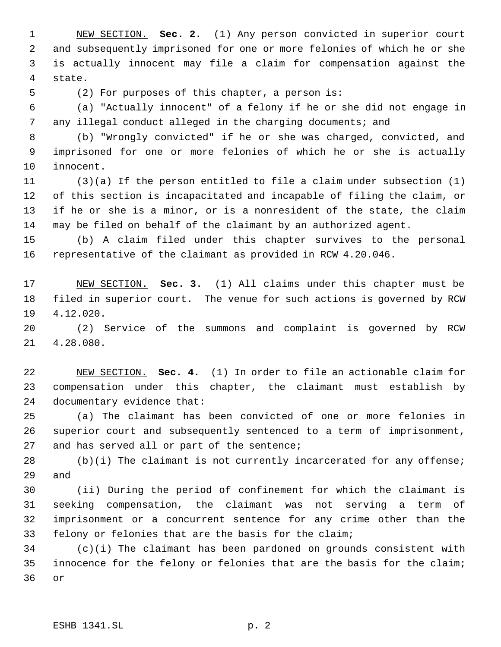NEW SECTION. **Sec. 2.** (1) Any person convicted in superior court and subsequently imprisoned for one or more felonies of which he or she is actually innocent may file a claim for compensation against the state.

(2) For purposes of this chapter, a person is:

 (a) "Actually innocent" of a felony if he or she did not engage in 7 any illegal conduct alleged in the charging documents; and

 (b) "Wrongly convicted" if he or she was charged, convicted, and imprisoned for one or more felonies of which he or she is actually innocent.

 (3)(a) If the person entitled to file a claim under subsection (1) of this section is incapacitated and incapable of filing the claim, or if he or she is a minor, or is a nonresident of the state, the claim may be filed on behalf of the claimant by an authorized agent.

 (b) A claim filed under this chapter survives to the personal representative of the claimant as provided in RCW 4.20.046.

 NEW SECTION. **Sec. 3.** (1) All claims under this chapter must be filed in superior court. The venue for such actions is governed by RCW 4.12.020.

 (2) Service of the summons and complaint is governed by RCW 4.28.080.

 NEW SECTION. **Sec. 4.** (1) In order to file an actionable claim for compensation under this chapter, the claimant must establish by documentary evidence that:

 (a) The claimant has been convicted of one or more felonies in superior court and subsequently sentenced to a term of imprisonment, 27 and has served all or part of the sentence;

 (b)(i) The claimant is not currently incarcerated for any offense; and

 (ii) During the period of confinement for which the claimant is seeking compensation, the claimant was not serving a term of imprisonment or a concurrent sentence for any crime other than the felony or felonies that are the basis for the claim;

 (c)(i) The claimant has been pardoned on grounds consistent with innocence for the felony or felonies that are the basis for the claim; or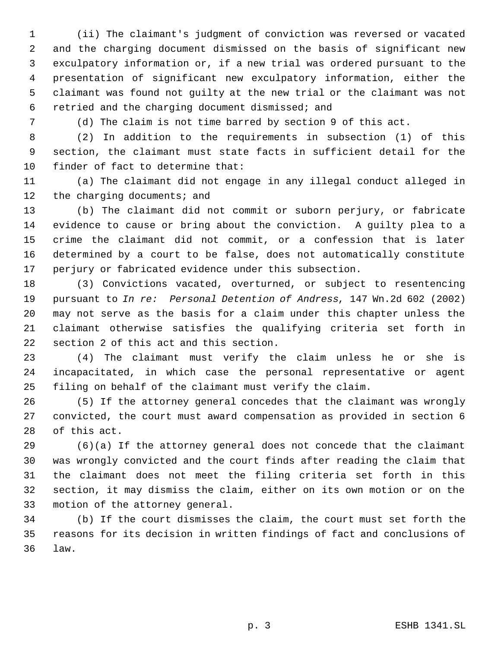(ii) The claimant's judgment of conviction was reversed or vacated and the charging document dismissed on the basis of significant new exculpatory information or, if a new trial was ordered pursuant to the presentation of significant new exculpatory information, either the claimant was found not guilty at the new trial or the claimant was not retried and the charging document dismissed; and

(d) The claim is not time barred by section 9 of this act.

 (2) In addition to the requirements in subsection (1) of this section, the claimant must state facts in sufficient detail for the finder of fact to determine that:

 (a) The claimant did not engage in any illegal conduct alleged in 12 the charging documents; and

 (b) The claimant did not commit or suborn perjury, or fabricate evidence to cause or bring about the conviction. A guilty plea to a crime the claimant did not commit, or a confession that is later determined by a court to be false, does not automatically constitute perjury or fabricated evidence under this subsection.

 (3) Convictions vacated, overturned, or subject to resentencing pursuant to *In re: Personal Detention of Andress*, 147 Wn.2d 602 (2002) may not serve as the basis for a claim under this chapter unless the claimant otherwise satisfies the qualifying criteria set forth in section 2 of this act and this section.

 (4) The claimant must verify the claim unless he or she is incapacitated, in which case the personal representative or agent filing on behalf of the claimant must verify the claim.

 (5) If the attorney general concedes that the claimant was wrongly convicted, the court must award compensation as provided in section 6 of this act.

 (6)(a) If the attorney general does not concede that the claimant was wrongly convicted and the court finds after reading the claim that the claimant does not meet the filing criteria set forth in this section, it may dismiss the claim, either on its own motion or on the motion of the attorney general.

 (b) If the court dismisses the claim, the court must set forth the reasons for its decision in written findings of fact and conclusions of law.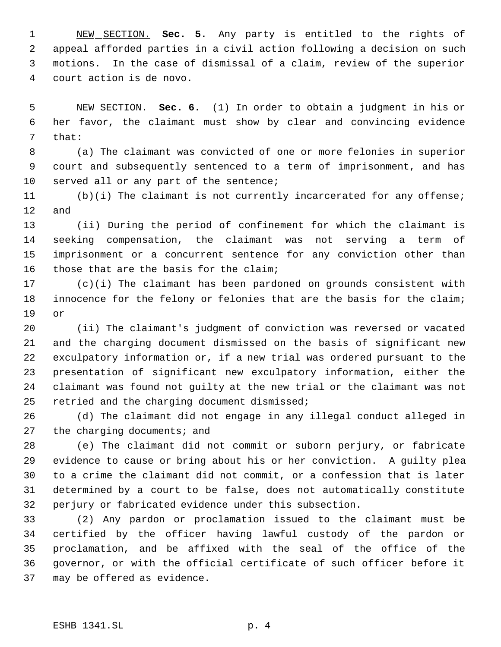NEW SECTION. **Sec. 5.** Any party is entitled to the rights of appeal afforded parties in a civil action following a decision on such motions. In the case of dismissal of a claim, review of the superior court action is de novo.

 NEW SECTION. **Sec. 6.** (1) In order to obtain a judgment in his or her favor, the claimant must show by clear and convincing evidence that:

 (a) The claimant was convicted of one or more felonies in superior court and subsequently sentenced to a term of imprisonment, and has served all or any part of the sentence;

 (b)(i) The claimant is not currently incarcerated for any offense; and

 (ii) During the period of confinement for which the claimant is seeking compensation, the claimant was not serving a term of imprisonment or a concurrent sentence for any conviction other than those that are the basis for the claim;

 (c)(i) The claimant has been pardoned on grounds consistent with innocence for the felony or felonies that are the basis for the claim; or

 (ii) The claimant's judgment of conviction was reversed or vacated and the charging document dismissed on the basis of significant new exculpatory information or, if a new trial was ordered pursuant to the presentation of significant new exculpatory information, either the claimant was found not guilty at the new trial or the claimant was not retried and the charging document dismissed;

 (d) The claimant did not engage in any illegal conduct alleged in 27 the charging documents; and

 (e) The claimant did not commit or suborn perjury, or fabricate evidence to cause or bring about his or her conviction. A guilty plea to a crime the claimant did not commit, or a confession that is later determined by a court to be false, does not automatically constitute perjury or fabricated evidence under this subsection.

 (2) Any pardon or proclamation issued to the claimant must be certified by the officer having lawful custody of the pardon or proclamation, and be affixed with the seal of the office of the governor, or with the official certificate of such officer before it may be offered as evidence.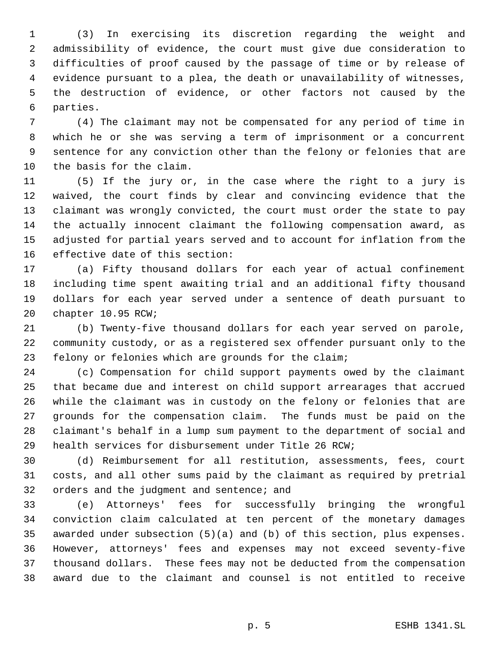(3) In exercising its discretion regarding the weight and admissibility of evidence, the court must give due consideration to difficulties of proof caused by the passage of time or by release of evidence pursuant to a plea, the death or unavailability of witnesses, the destruction of evidence, or other factors not caused by the parties.

 (4) The claimant may not be compensated for any period of time in which he or she was serving a term of imprisonment or a concurrent sentence for any conviction other than the felony or felonies that are the basis for the claim.

 (5) If the jury or, in the case where the right to a jury is waived, the court finds by clear and convincing evidence that the claimant was wrongly convicted, the court must order the state to pay the actually innocent claimant the following compensation award, as adjusted for partial years served and to account for inflation from the effective date of this section:

 (a) Fifty thousand dollars for each year of actual confinement including time spent awaiting trial and an additional fifty thousand dollars for each year served under a sentence of death pursuant to chapter 10.95 RCW;

 (b) Twenty-five thousand dollars for each year served on parole, community custody, or as a registered sex offender pursuant only to the felony or felonies which are grounds for the claim;

 (c) Compensation for child support payments owed by the claimant that became due and interest on child support arrearages that accrued while the claimant was in custody on the felony or felonies that are grounds for the compensation claim. The funds must be paid on the claimant's behalf in a lump sum payment to the department of social and health services for disbursement under Title 26 RCW;

 (d) Reimbursement for all restitution, assessments, fees, court costs, and all other sums paid by the claimant as required by pretrial 32 orders and the judgment and sentence; and

 (e) Attorneys' fees for successfully bringing the wrongful conviction claim calculated at ten percent of the monetary damages awarded under subsection (5)(a) and (b) of this section, plus expenses. However, attorneys' fees and expenses may not exceed seventy-five thousand dollars. These fees may not be deducted from the compensation award due to the claimant and counsel is not entitled to receive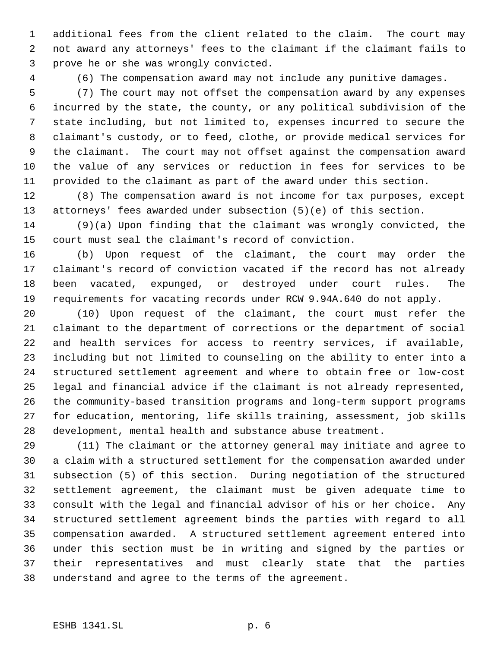additional fees from the client related to the claim. The court may not award any attorneys' fees to the claimant if the claimant fails to prove he or she was wrongly convicted.

(6) The compensation award may not include any punitive damages.

 (7) The court may not offset the compensation award by any expenses incurred by the state, the county, or any political subdivision of the state including, but not limited to, expenses incurred to secure the claimant's custody, or to feed, clothe, or provide medical services for the claimant. The court may not offset against the compensation award the value of any services or reduction in fees for services to be provided to the claimant as part of the award under this section.

 (8) The compensation award is not income for tax purposes, except attorneys' fees awarded under subsection (5)(e) of this section.

 (9)(a) Upon finding that the claimant was wrongly convicted, the court must seal the claimant's record of conviction.

 (b) Upon request of the claimant, the court may order the claimant's record of conviction vacated if the record has not already been vacated, expunged, or destroyed under court rules. The requirements for vacating records under RCW 9.94A.640 do not apply.

 (10) Upon request of the claimant, the court must refer the claimant to the department of corrections or the department of social and health services for access to reentry services, if available, including but not limited to counseling on the ability to enter into a structured settlement agreement and where to obtain free or low-cost legal and financial advice if the claimant is not already represented, the community-based transition programs and long-term support programs for education, mentoring, life skills training, assessment, job skills development, mental health and substance abuse treatment.

 (11) The claimant or the attorney general may initiate and agree to a claim with a structured settlement for the compensation awarded under subsection (5) of this section. During negotiation of the structured settlement agreement, the claimant must be given adequate time to consult with the legal and financial advisor of his or her choice. Any structured settlement agreement binds the parties with regard to all compensation awarded. A structured settlement agreement entered into under this section must be in writing and signed by the parties or their representatives and must clearly state that the parties understand and agree to the terms of the agreement.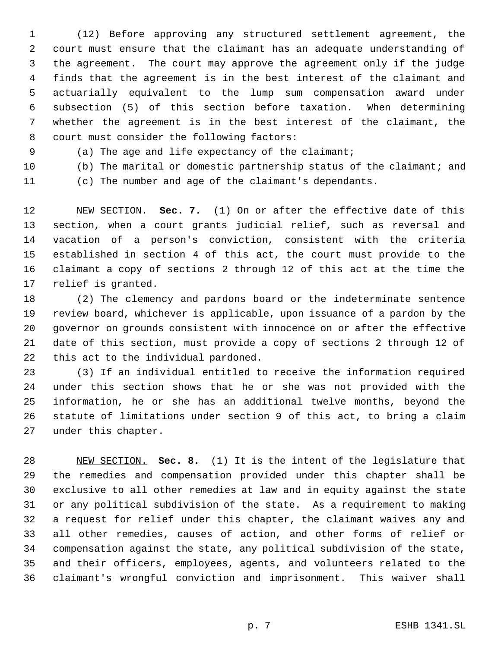(12) Before approving any structured settlement agreement, the court must ensure that the claimant has an adequate understanding of the agreement. The court may approve the agreement only if the judge finds that the agreement is in the best interest of the claimant and actuarially equivalent to the lump sum compensation award under subsection (5) of this section before taxation. When determining whether the agreement is in the best interest of the claimant, the 8 court must consider the following factors:

(a) The age and life expectancy of the claimant;

(b) The marital or domestic partnership status of the claimant; and

(c) The number and age of the claimant's dependants.

 NEW SECTION. **Sec. 7.** (1) On or after the effective date of this section, when a court grants judicial relief, such as reversal and vacation of a person's conviction, consistent with the criteria established in section 4 of this act, the court must provide to the claimant a copy of sections 2 through 12 of this act at the time the relief is granted.

 (2) The clemency and pardons board or the indeterminate sentence review board, whichever is applicable, upon issuance of a pardon by the governor on grounds consistent with innocence on or after the effective date of this section, must provide a copy of sections 2 through 12 of this act to the individual pardoned.

 (3) If an individual entitled to receive the information required under this section shows that he or she was not provided with the information, he or she has an additional twelve months, beyond the statute of limitations under section 9 of this act, to bring a claim under this chapter.

 NEW SECTION. **Sec. 8.** (1) It is the intent of the legislature that the remedies and compensation provided under this chapter shall be exclusive to all other remedies at law and in equity against the state or any political subdivision of the state. As a requirement to making a request for relief under this chapter, the claimant waives any and all other remedies, causes of action, and other forms of relief or compensation against the state, any political subdivision of the state, and their officers, employees, agents, and volunteers related to the claimant's wrongful conviction and imprisonment. This waiver shall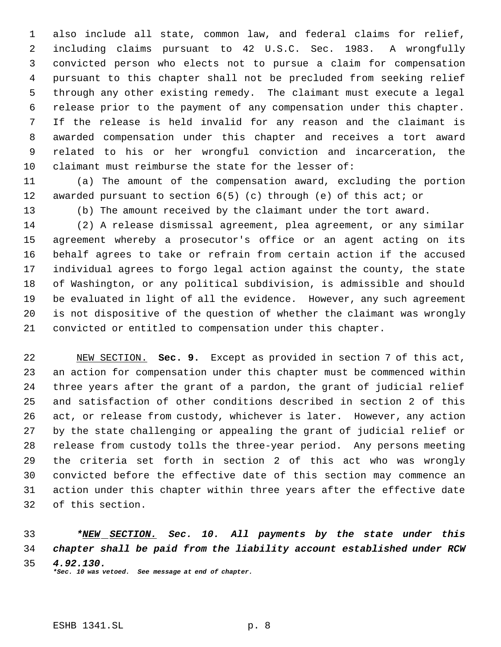also include all state, common law, and federal claims for relief, including claims pursuant to 42 U.S.C. Sec. 1983. A wrongfully convicted person who elects not to pursue a claim for compensation pursuant to this chapter shall not be precluded from seeking relief through any other existing remedy. The claimant must execute a legal release prior to the payment of any compensation under this chapter. If the release is held invalid for any reason and the claimant is awarded compensation under this chapter and receives a tort award related to his or her wrongful conviction and incarceration, the claimant must reimburse the state for the lesser of:

 (a) The amount of the compensation award, excluding the portion awarded pursuant to section 6(5) (c) through (e) of this act; or

(b) The amount received by the claimant under the tort award.

 (2) A release dismissal agreement, plea agreement, or any similar agreement whereby a prosecutor's office or an agent acting on its behalf agrees to take or refrain from certain action if the accused individual agrees to forgo legal action against the county, the state of Washington, or any political subdivision, is admissible and should be evaluated in light of all the evidence. However, any such agreement is not dispositive of the question of whether the claimant was wrongly convicted or entitled to compensation under this chapter.

 NEW SECTION. **Sec. 9.** Except as provided in section 7 of this act, an action for compensation under this chapter must be commenced within three years after the grant of a pardon, the grant of judicial relief and satisfaction of other conditions described in section 2 of this act, or release from custody, whichever is later. However, any action by the state challenging or appealing the grant of judicial relief or release from custody tolls the three-year period. Any persons meeting the criteria set forth in section 2 of this act who was wrongly convicted before the effective date of this section may commence an action under this chapter within three years after the effective date of this section.

 *\*NEW SECTION. Sec. 10. All payments by the state under this chapter shall be paid from the liability account established under RCW 4.92.130. \*Sec. 10 was vetoed. See message at end of chapter.*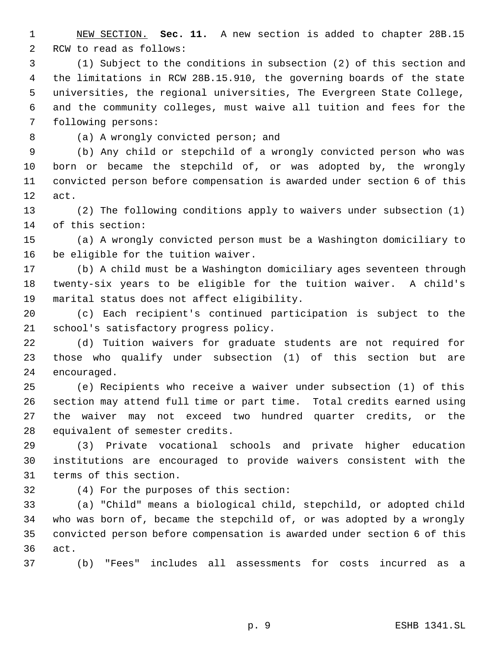NEW SECTION. **Sec. 11.** A new section is added to chapter 28B.15 RCW to read as follows:

 (1) Subject to the conditions in subsection (2) of this section and the limitations in RCW 28B.15.910, the governing boards of the state universities, the regional universities, The Evergreen State College, and the community colleges, must waive all tuition and fees for the following persons:

(a) A wrongly convicted person; and

 (b) Any child or stepchild of a wrongly convicted person who was born or became the stepchild of, or was adopted by, the wrongly convicted person before compensation is awarded under section 6 of this act.

 (2) The following conditions apply to waivers under subsection (1) of this section:

 (a) A wrongly convicted person must be a Washington domiciliary to be eligible for the tuition waiver.

 (b) A child must be a Washington domiciliary ages seventeen through twenty-six years to be eligible for the tuition waiver. A child's marital status does not affect eligibility.

 (c) Each recipient's continued participation is subject to the school's satisfactory progress policy.

 (d) Tuition waivers for graduate students are not required for those who qualify under subsection (1) of this section but are encouraged.

 (e) Recipients who receive a waiver under subsection (1) of this section may attend full time or part time. Total credits earned using the waiver may not exceed two hundred quarter credits, or the equivalent of semester credits.

 (3) Private vocational schools and private higher education institutions are encouraged to provide waivers consistent with the terms of this section.

(4) For the purposes of this section:

 (a) "Child" means a biological child, stepchild, or adopted child who was born of, became the stepchild of, or was adopted by a wrongly convicted person before compensation is awarded under section 6 of this act.

(b) "Fees" includes all assessments for costs incurred as a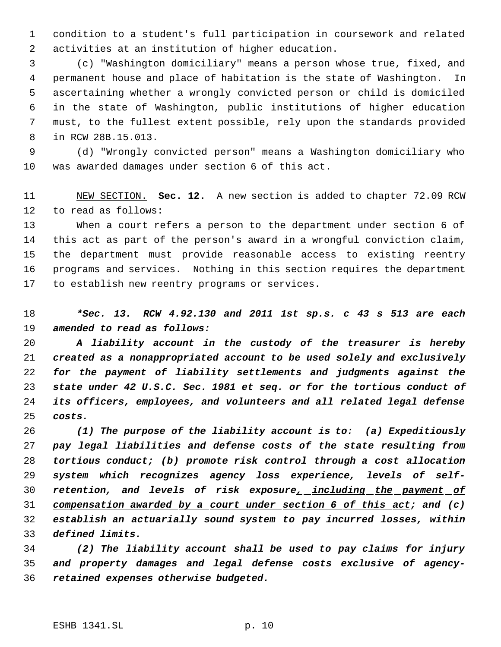condition to a student's full participation in coursework and related activities at an institution of higher education.

 (c) "Washington domiciliary" means a person whose true, fixed, and permanent house and place of habitation is the state of Washington. In ascertaining whether a wrongly convicted person or child is domiciled in the state of Washington, public institutions of higher education must, to the fullest extent possible, rely upon the standards provided in RCW 28B.15.013.

 (d) "Wrongly convicted person" means a Washington domiciliary who was awarded damages under section 6 of this act.

 NEW SECTION. **Sec. 12.** A new section is added to chapter 72.09 RCW to read as follows:

 When a court refers a person to the department under section 6 of this act as part of the person's award in a wrongful conviction claim, the department must provide reasonable access to existing reentry programs and services. Nothing in this section requires the department to establish new reentry programs or services.

 *\*Sec. 13. RCW 4.92.130 and 2011 1st sp.s. c 43 s 513 are each amended to read as follows:*

 *A liability account in the custody of the treasurer is hereby created as a nonappropriated account to be used solely and exclusively for the payment of liability settlements and judgments against the state under 42 U.S.C. Sec. 1981 et seq. or for the tortious conduct of its officers, employees, and volunteers and all related legal defense costs.*

 *(1) The purpose of the liability account is to: (a) Expeditiously pay legal liabilities and defense costs of the state resulting from tortious conduct; (b) promote risk control through a cost allocation system which recognizes agency loss experience, levels of self- retention, and levels of risk exposure, including the payment of compensation awarded by a court under section 6 of this act; and (c) establish an actuarially sound system to pay incurred losses, within defined limits.*

 *(2) The liability account shall be used to pay claims for injury and property damages and legal defense costs exclusive of agency-retained expenses otherwise budgeted.*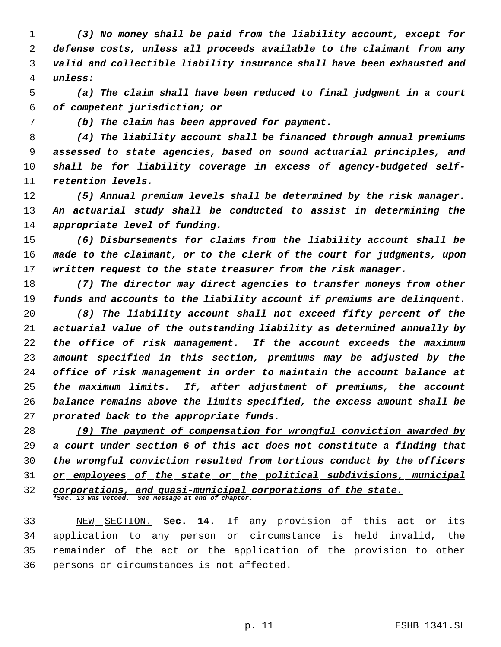*(3) No money shall be paid from the liability account, except for defense costs, unless all proceeds available to the claimant from any valid and collectible liability insurance shall have been exhausted and unless:*

 *(a) The claim shall have been reduced to final judgment in a court of competent jurisdiction; or*

*(b) The claim has been approved for payment.*

 *(4) The liability account shall be financed through annual premiums assessed to state agencies, based on sound actuarial principles, and shall be for liability coverage in excess of agency-budgeted self-retention levels.*

 *(5) Annual premium levels shall be determined by the risk manager. An actuarial study shall be conducted to assist in determining the appropriate level of funding.*

 *(6) Disbursements for claims from the liability account shall be made to the claimant, or to the clerk of the court for judgments, upon written request to the state treasurer from the risk manager.*

 *(7) The director may direct agencies to transfer moneys from other funds and accounts to the liability account if premiums are delinquent.*

 *(8) The liability account shall not exceed fifty percent of the actuarial value of the outstanding liability as determined annually by the office of risk management. If the account exceeds the maximum amount specified in this section, premiums may be adjusted by the office of risk management in order to maintain the account balance at the maximum limits. If, after adjustment of premiums, the account balance remains above the limits specified, the excess amount shall be prorated back to the appropriate funds.*

 *(9) The payment of compensation for wrongful conviction awarded by a court under section 6 of this act does not constitute a finding that the wrongful conviction resulted from tortious conduct by the officers or employees of the state or the political subdivisions, municipal corporations, and quasi-municipal corporations of the state. \*Sec. 13 was vetoed. See message at end of chapter.*

 NEW SECTION. **Sec. 14.** If any provision of this act or its application to any person or circumstance is held invalid, the remainder of the act or the application of the provision to other persons or circumstances is not affected.